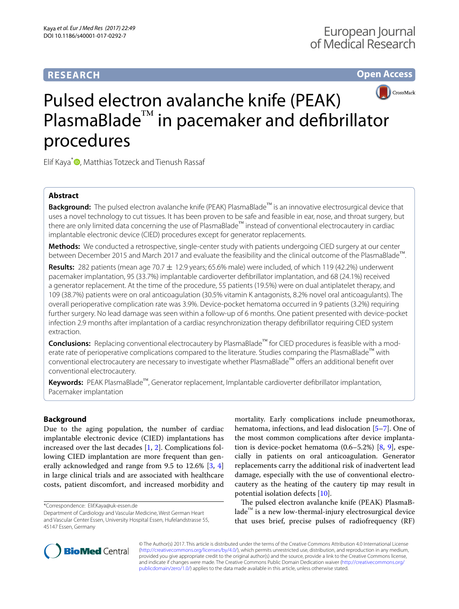# **RESEARCH**

# **Open Access**



# Pulsed electron avalanche knife (PEAK) PlasmaBlade™ in pacemaker and defibrillator procedures

Elif Kaya<sup>\*</sup> D[,](http://orcid.org/0000-0001-6388-9714) Matthias Totzeck and Tienush Rassaf

# **Abstract**

**Background:** The pulsed electron avalanche knife (PEAK) PlasmaBlade™ is an innovative electrosurgical device that uses a novel technology to cut tissues. It has been proven to be safe and feasible in ear, nose, and throat surgery, but there are only limited data concerning the use of PlasmaBlade™ instead of conventional electrocautery in cardiac implantable electronic device (CIED) procedures except for generator replacements.

**Methods:** We conducted a retrospective, single-center study with patients undergoing CIED surgery at our center between December 2015 and March 2017 and evaluate the feasibility and the clinical outcome of the PlasmaBlade™.

**Results:** 282 patients (mean age 70.7 ± 12.9 years; 65.6% male) were included, of which 119 (42.2%) underwent pacemaker implantation, 95 (33.7%) implantable cardioverter defbrillator implantation, and 68 (24.1%) received a generator replacement. At the time of the procedure, 55 patients (19.5%) were on dual antiplatelet therapy, and 109 (38.7%) patients were on oral anticoagulation (30.5% vitamin K antagonists, 8.2% novel oral anticoagulants). The overall perioperative complication rate was 3.9%. Device-pocket hematoma occurred in 9 patients (3.2%) requiring further surgery. No lead damage was seen within a follow-up of 6 months. One patient presented with device-pocket infection 2.9 months after implantation of a cardiac resynchronization therapy defbrillator requiring CIED system extraction.

**Conclusions:** Replacing conventional electrocautery by PlasmaBlade™ for CIED procedures is feasible with a moderate rate of perioperative complications compared to the literature. Studies comparing the PlasmaBlade™ with conventional electrocautery are necessary to investigate whether PlasmaBlade™ ofers an additional beneft over conventional electrocautery.

**Keywords:** PEAK PlasmaBlade™, Generator replacement, Implantable cardioverter defbrillator implantation, Pacemaker implantation

## **Background**

Due to the aging population, the number of cardiac implantable electronic device (CIED) implantations has increased over the last decades [[1,](#page-3-0) [2\]](#page-4-0). Complications following CIED implantation are more frequent than generally acknowledged and range from 9.5 to 12.6% [[3,](#page-4-1) [4](#page-4-2)] in large clinical trials and are associated with healthcare costs, patient discomfort, and increased morbidity and

\*Correspondence: Elif.Kaya@uk-essen.de

mortality. Early complications include pneumothorax, hematoma, infections, and lead dislocation [[5](#page-4-3)[–7](#page-4-4)]. One of the most common complications after device implantation is device-pocket hematoma (0.6–5.2%) [\[8](#page-4-5), [9\]](#page-4-6), especially in patients on oral anticoagulation. Generator replacements carry the additional risk of inadvertent lead damage, especially with the use of conventional electrocautery as the heating of the cautery tip may result in potential isolation defects [\[10](#page-4-7)].

The pulsed electron avalanche knife (PEAK) PlasmaB $l$ ade $^{\text{m}}$  is a new low-thermal-injury electrosurgical device that uses brief, precise pulses of radiofrequency (RF)



© The Author(s) 2017. This article is distributed under the terms of the Creative Commons Attribution 4.0 International License [\(http://creativecommons.org/licenses/by/4.0/\)](http://creativecommons.org/licenses/by/4.0/), which permits unrestricted use, distribution, and reproduction in any medium, provided you give appropriate credit to the original author(s) and the source, provide a link to the Creative Commons license, and indicate if changes were made. The Creative Commons Public Domain Dedication waiver ([http://creativecommons.org/](http://creativecommons.org/publicdomain/zero/1.0/) [publicdomain/zero/1.0/](http://creativecommons.org/publicdomain/zero/1.0/)) applies to the data made available in this article, unless otherwise stated.

Department of Cardiology and Vascular Medicine, West German Heart and Vascular Center Essen, University Hospital Essen, Hufelandstrasse 55, 45147 Essen, Germany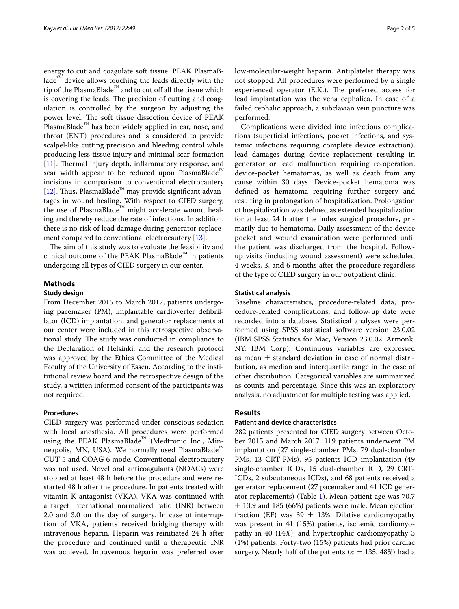energy to cut and coagulate soft tissue. PEAK PlasmaB $l$ ade<sup>™</sup> device allows touching the leads directly with the tip of the PlasmaBlade™ and to cut off all the tissue which is covering the leads. The precision of cutting and coagulation is controlled by the surgeon by adjusting the power level. The soft tissue dissection device of PEAK PlasmaBlade<sup>™</sup> has been widely applied in ear, nose, and throat (ENT) procedures and is considered to provide scalpel-like cutting precision and bleeding control while producing less tissue injury and minimal scar formation [[11\]](#page-4-8). Thermal injury depth, inflammatory response, and scar width appear to be reduced upon PlasmaBlade™ incisions in comparison to conventional electrocautery [[12\]](#page-4-9). Thus, PlasmaBlade<sup>™</sup> may provide significant advantages in wound healing. With respect to CIED surgery, the use of PlasmaBlade™ might accelerate wound healing and thereby reduce the rate of infections. In addition, there is no risk of lead damage during generator replacement compared to conventional electrocautery [\[13](#page-4-10)].

The aim of this study was to evaluate the feasibility and clinical outcome of the PEAK PlasmaBlade<sup>™</sup> in patients undergoing all types of CIED surgery in our center.

#### **Methods**

## **Study design**

From December 2015 to March 2017, patients undergoing pacemaker (PM), implantable cardioverter defbrillator (ICD) implantation, and generator replacements at our center were included in this retrospective observational study. The study was conducted in compliance to the Declaration of Helsinki, and the research protocol was approved by the Ethics Committee of the Medical Faculty of the University of Essen. According to the institutional review board and the retrospective design of the study, a written informed consent of the participants was not required.

#### **Procedures**

CIED surgery was performed under conscious sedation with local anesthesia. All procedures were performed using the PEAK PlasmaBlade™ (Medtronic Inc., Minneapolis, MN, USA). We normally used PlasmaBlade™ CUT 5 and COAG 6 mode. Conventional electrocautery was not used. Novel oral anticoagulants (NOACs) were stopped at least 48 h before the procedure and were restarted 48 h after the procedure. In patients treated with vitamin K antagonist (VKA), VKA was continued with a target international normalized ratio (INR) between 2.0 and 3.0 on the day of surgery. In case of interruption of VKA, patients received bridging therapy with intravenous heparin. Heparin was reinitiated 24 h after the procedure and continued until a therapeutic INR was achieved. Intravenous heparin was preferred over low-molecular-weight heparin. Antiplatelet therapy was not stopped. All procedures were performed by a single experienced operator (E.K.). The preferred access for lead implantation was the vena cephalica. In case of a failed cephalic approach, a subclavian vein puncture was performed.

Complications were divided into infectious complications (superfcial infections, pocket infections, and systemic infections requiring complete device extraction), lead damages during device replacement resulting in generator or lead malfunction requiring re-operation, device-pocket hematomas, as well as death from any cause within 30 days. Device-pocket hematoma was defned as hematoma requiring further surgery and resulting in prolongation of hospitalization. Prolongation of hospitalization was defned as extended hospitalization for at least 24 h after the index surgical procedure, primarily due to hematoma. Daily assessment of the device pocket and wound examination were performed until the patient was discharged from the hospital. Followup visits (including wound assessment) were scheduled 4 weeks, 3, and 6 months after the procedure regardless of the type of CIED surgery in our outpatient clinic.

#### **Statistical analysis**

Baseline characteristics, procedure-related data, procedure-related complications, and follow-up date were recorded into a database. Statistical analyses were performed using SPSS statistical software version 23.0.02 (IBM SPSS Statistics for Mac, Version 23.0.02. Armonk, NY: IBM Corp). Continuous variables are expressed as mean  $\pm$  standard deviation in case of normal distribution, as median and interquartile range in the case of other distribution. Categorical variables are summarized as counts and percentage. Since this was an exploratory analysis, no adjustment for multiple testing was applied.

### **Results**

#### **Patient and device characteristics**

282 patients presented for CIED surgery between October 2015 and March 2017. 119 patients underwent PM implantation (27 single-chamber PMs, 79 dual-chamber PMs, 13 CRT-PMs), 95 patients ICD implantation (49 single-chamber ICDs, 15 dual-chamber ICD, 29 CRT-ICDs, 2 subcutaneous ICDs), and 68 patients received a generator replacement (27 pacemaker and 41 ICD generator replacements) (Table [1](#page-2-0)). Mean patient age was 70.7  $\pm$  13.9 and 185 (66%) patients were male. Mean ejection fraction (EF) was  $39 \pm 13$ %. Dilative cardiomyopathy was present in 41 (15%) patients, ischemic cardiomyopathy in 40 (14%), and hypertrophic cardiomyopathy 3 (1%) patients. Forty-two (15%) patients had prior cardiac surgery. Nearly half of the patients ( $n = 135, 48\%$ ) had a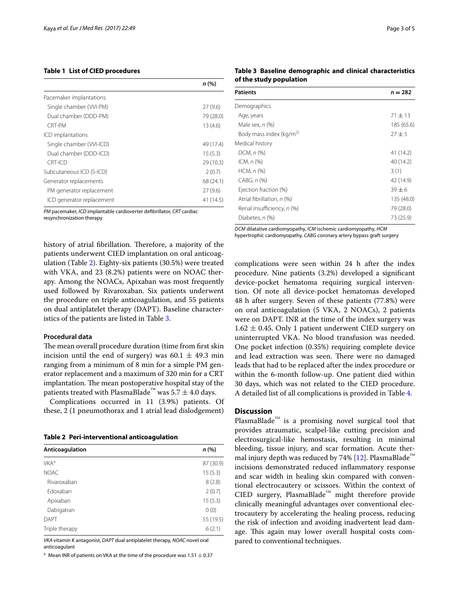## <span id="page-2-0"></span>**Table 1 List of CIED procedures**

|                           | n (%)     |
|---------------------------|-----------|
| Pacemaker implantations   |           |
| Single chamber (VVI-PM)   | 27(9.6)   |
| Dual chamber (DDD-PM)     | 79 (28.0) |
| CRT-PM                    | 13(4.6)   |
| ICD implantations         |           |
| Single chamber (VVI-ICD)  | 49 (17.4) |
| Dual chamber (DDD-ICD)    | 15(5.3)   |
| CRT-ICD                   | 29(10.3)  |
| Subcutaneous ICD (S-ICD)  | 2(0.7)    |
| Generator replacements    | 68 (24.1) |
| PM generator replacement  | 27(9.6)   |
| ICD generator replacement | 41 (14.5) |

 $\overline{a}$ 

*PM* pacemaker, *ICD* implantable cardioverter defbrillator, *CRT* cardiac resynchronization therapy

history of atrial fibrillation. Therefore, a majority of the patients underwent CIED implantation on oral anticoagulation (Table [2\)](#page-2-1). Eighty-six patients (30.5%) were treated with VKA, and 23 (8.2%) patients were on NOAC therapy. Among the NOACs, Apixaban was most frequently used followed by Rivaroxaban. Six patients underwent the procedure on triple anticoagulation, and 55 patients on dual antiplatelet therapy (DAPT). Baseline characteristics of the patients are listed in Table [3](#page-2-2).

#### **Procedural data**

The mean overall procedure duration (time from first skin incision until the end of surgery) was  $60.1 \pm 49.3$  min ranging from a minimum of 8 min for a simple PM generator replacement and a maximum of 320 min for a CRT implantation. The mean postoperative hospital stay of the patients treated with PlasmaBlade<sup>™</sup> was  $5.7 \pm 4.0$  days.

Complications occurred in 11 (3.9%) patients. Of these, 2 (1 pneumothorax and 1 atrial lead dislodgement)

<span id="page-2-1"></span>**Table 2 Peri-interventional anticoagulation**

| Anticoagulation  | n (%)     |
|------------------|-----------|
| VKA <sup>a</sup> | 87 (30.9) |
| <b>NOAC</b>      | 15(5.3)   |
| Rivaroxaban      | 8(2.8)    |
| Fdoxaban         | 2(0.7)    |
| Apixaban         | 15(5.3)   |
| Dabigatran       | 0(0)      |
| <b>DAPT</b>      | 55 (19.5) |
| Triple therapy   | 6(2.1)    |

*VKA* vitamin K antagonist, *DAPT* dual antiplatelet therapy, *NOAC* novel oral anticoagulant

<sup>a</sup> Mean INR of patients on VKA at the time of the procedure was  $1.51 \pm 0.37$ 

<span id="page-2-2"></span>

|                         |  | Table 3 Baseline demographic and clinical characteristics |
|-------------------------|--|-----------------------------------------------------------|
| of the study population |  |                                                           |

| <b>Patients</b>                     | $n = 282$  |
|-------------------------------------|------------|
| Demographics                        |            |
| Age, years                          | $71 + 13$  |
| Male sex, $n$ $(\%)$                | 185 (65.6) |
| Body mass index (kg/m <sup>2)</sup> | $27 + 5$   |
| Medical history                     |            |
| $DCM, n$ (%)                        | 41 (14.2)  |
| $ICM, n$ (%)                        | 40 (14.2)  |
| $HCM, n$ (%)                        | 3(1)       |
| CABG, n <sub>(</sub> %)             | 42 (14.9)  |
| Ejection fraction (%)               | $39 + 6$   |
| Atrial fibrillation, n (%)          | 135 (48.0) |
| Renal insufficiency, n (%)          | 79 (28.0)  |
| Diabetes, n (%)                     | 73 (25.9)  |

*DCM* dilatative cardiomyopathy, *ICM* ischemic cardiomyopathy, *HCM* hypertrophic cardiomyopathy, *CABG* coronary artery bypass graft surgery

complications were seen within 24 h after the index procedure. Nine patients (3.2%) developed a signifcant device-pocket hematoma requiring surgical intervention. Of note all device-pocket hematomas developed 48 h after surgery. Seven of these patients (77.8%) were on oral anticoagulation (5 VKA, 2 NOACs), 2 patients were on DAPT. INR at the time of the index surgery was  $1.62 \pm 0.45$ . Only 1 patient underwent CIED surgery on uninterrupted VKA. No blood transfusion was needed. One pocket infection (0.35%) requiring complete device and lead extraction was seen. There were no damaged leads that had to be replaced after the index procedure or within the 6-month follow-up. One patient died within 30 days, which was not related to the CIED procedure. A detailed list of all complications is provided in Table [4.](#page-3-1)

## **Discussion**

PlasmaBlade<sup>™</sup> is a promising novel surgical tool that provides atraumatic, scalpel-like cutting precision and electrosurgical-like hemostasis, resulting in minimal bleeding, tissue injury, and scar formation. Acute ther-mal injury depth was reduced by 74% [\[12](#page-4-9)]. PlasmaBlade<sup>™</sup> incisions demonstrated reduced infammatory response and scar width in healing skin compared with conventional electrocautery or scissors. Within the context of CIED surgery, PlasmaBlade™ might therefore provide clinically meaningful advantages over conventional electrocautery by accelerating the healing process, reducing the risk of infection and avoiding inadvertent lead damage. This again may lower overall hospital costs compared to conventional techniques.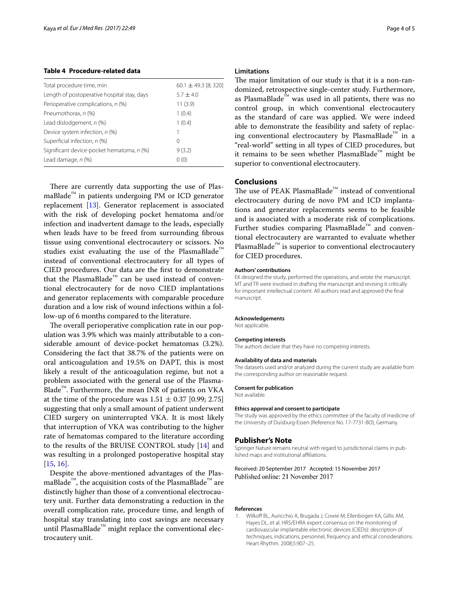#### <span id="page-3-1"></span>**Table 4 Procedure-related data**

| Total procedure time, min                   | 60.1 $\pm$ 49.3 [8; 320] |
|---------------------------------------------|--------------------------|
| Length of postoperative hospital stay, days | $5.7 + 4.0$              |
| Perioperative complications, n (%)          | 11(3.9)                  |
| Pneumothorax, n (%)                         | 1(0.4)                   |
| Lead dislodgement, n (%)                    | 1(0.4)                   |
| Device system infection, n (%)              |                          |
| Superficial infection, n (%)                | 0                        |
| Significant device-pocket hematoma, n (%)   | 9(3.2)                   |
| Lead damage, n (%)                          | 0(0)                     |
|                                             |                          |

There are currently data supporting the use of PlasmaBlade™ in patients undergoing PM or ICD generator replacement [\[13](#page-4-10)]. Generator replacement is associated with the risk of developing pocket hematoma and/or infection and inadvertent damage to the leads, especially when leads have to be freed from surrounding fibrous tissue using conventional electrocautery or scissors. No studies exist evaluating the use of the PlasmaBlade<sup>™</sup> instead of conventional electrocautery for all types of CIED procedures. Our data are the frst to demonstrate that the PlasmaBlade™ can be used instead of conventional electrocautery for de novo CIED implantations and generator replacements with comparable procedure duration and a low risk of wound infections within a follow-up of 6 months compared to the literature.

The overall perioperative complication rate in our population was 3.9% which was mainly attributable to a considerable amount of device-pocket hematomas (3.2%). Considering the fact that 38.7% of the patients were on oral anticoagulation and 19.5% on DAPT, this is most likely a result of the anticoagulation regime, but not a problem associated with the general use of the Plasma-Blade™. Furthermore, the mean INR of patients on VKA at the time of the procedure was  $1.51 \pm 0.37$  [0.99; 2.75] suggesting that only a small amount of patient underwent CIED surgery on uninterrupted VKA. It is most likely that interruption of VKA was contributing to the higher rate of hematomas compared to the literature according to the results of the BRUISE CONTROL study [\[14\]](#page-4-11) and was resulting in a prolonged postoperative hospital stay [[15,](#page-4-12) [16](#page-4-13)].

Despite the above-mentioned advantages of the PlasmaBlade™, the acquisition costs of the PlasmaBlade™ are distinctly higher than those of a conventional electrocautery unit. Further data demonstrating a reduction in the overall complication rate, procedure time, and length of hospital stay translating into cost savings are necessary until PlasmaBlade™ might replace the conventional electrocautery unit.

## **Limitations**

The major limitation of our study is that it is a non-randomized, retrospective single-center study. Furthermore, as PlasmaBlade™ was used in all patients, there was no control group, in which conventional electrocautery as the standard of care was applied. We were indeed able to demonstrate the feasibility and safety of replacing conventional electrocautery by PlasmaBlade™ in a "real-world" setting in all types of CIED procedures, but it remains to be seen whether PlasmaBlade<sup>™</sup> might be superior to conventional electrocautery.

#### **Conclusions**

The use of PEAK PlasmaBlade™ instead of conventional electrocautery during de novo PM and ICD implantations and generator replacements seems to be feasible and is associated with a moderate risk of complications. Further studies comparing PlasmaBlade™ and conventional electrocautery are warranted to evaluate whether PlasmaBlade<sup>™</sup> is superior to conventional electrocautery for CIED procedures.

#### **Authors' contributions**

EK designed the study, performed the operations, and wrote the manuscript. MT and TR were involved in drafting the manuscript and revising it critically for important intellectual content. All authors read and approved the fnal manuscript.

#### **Acknowledgements**

Not applicable.

#### **Competing interests**

The authors declare that they have no competing interests.

#### **Availability of data and materials**

The datasets used and/or analyzed during the current study are available from the corresponding author on reasonable request.

#### **Consent for publication**

Not available.

#### **Ethics approval and consent to participate**

The study was approved by the ethics committee of the faculty of medicine of the University of Duisburg-Essen (Reference No. 17-7731-BO), Germany.

#### **Publisher's Note**

Springer Nature remains neutral with regard to jurisdictional claims in published maps and institutional afliations.

#### Received: 20 September 2017 Accepted: 15 November 2017 Published online: 21 November 2017

#### **References**

<span id="page-3-0"></span>Wilkoff BL, Auricchio A, Brugada J, Cowie M, Ellenbogen KA, Gillis AM, Hayes DL, et al. HRS/EHRA expert consensus on the monitoring of cardiovascular implantable electronic devices (CIEDs): description of techniques, indications, personnel, frequency and ethical considerations. Heart Rhythm. 2008;5:907–25.